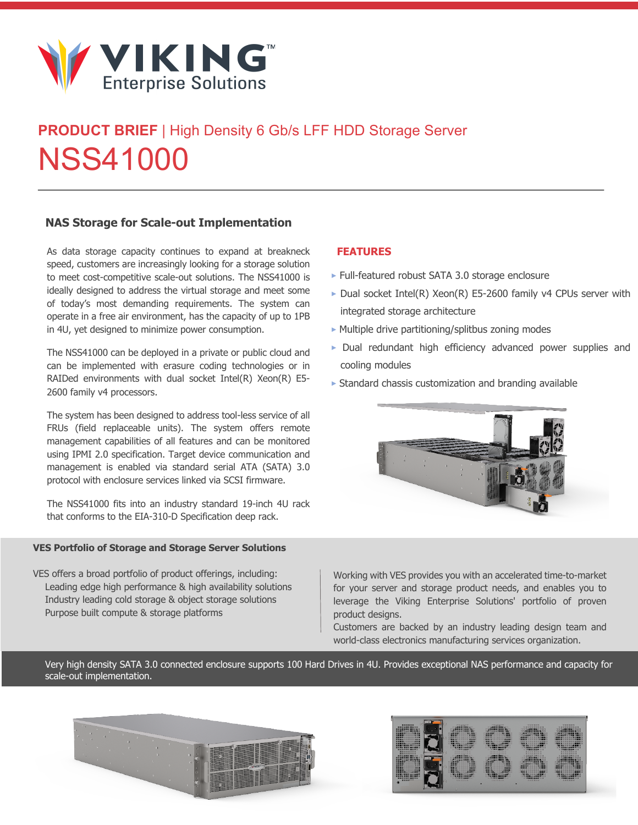

# **PRODUCT BRIEF** | High Density 6 Gb/s LFF HDD Storage Server NSS41000

### **NAS Storage for Scale-out Implementation**

As data storage capacity continues to expand at breakneck speed, customers are increasingly looking for a storage solution to meet cost-competitive scale-out solutions. The NSS41000 is ideally designed to address the virtual storage and meet some of today's most demanding requirements. The system can operate in a free air environment, has the capacity of up to 1PB in 4U, yet designed to minimize power consumption.

The NSS41000 can be deployed in a private or public cloud and can be implemented with erasure coding technologies or in RAIDed environments with dual socket Intel(R) Xeon(R) E5- 2600 family v4 processors.

The system has been designed to address tool-less service of all FRUs (field replaceable units). The system offers remote management capabilities of all features and can be monitored using IPMI 2.0 specification. Target device communication and management is enabled via standard serial ATA (SATA) 3.0 protocol with enclosure services linked via SCSI firmware.

The NSS41000 fits into an industry standard 19-inch 4U rack that conforms to the EIA-310-D Specification deep rack.

#### **VES Portfolio of Storage and Storage Server Solutions**

VES offers a broad portfolio of product offerings, including: Leading edge high performance & high availability solutions Industry leading cold storage & object storage solutions Purpose built compute & storage platforms

### **FEATURES**

- **‣** Full-featured robust SATA 3.0 storage enclosure
- **‣** Dual socket Intel(R) Xeon(R) E5-2600 family v4 CPUs server with integrated storage architecture
- **‣** Multiple drive partitioning/splitbus zoning modes
- **‣** Dual redundant high efficiency advanced power supplies and cooling modules
- **‣** Standard chassis customization and branding available



Working with VES provides you with an accelerated time-to-market for your server and storage product needs, and enables you to leverage the Viking Enterprise Solutions' portfolio of proven product designs.

Customers are backed by an industry leading design team and world-class electronics manufacturing services organization.

Very high density SATA 3.0 connected enclosure supports 100 Hard Drives in 4U. Provides exceptional NAS performance and capacity for scale-out implementation.